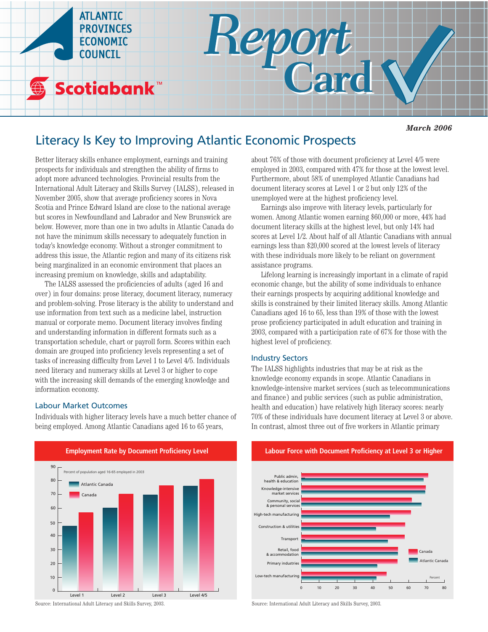

## *March 2006*

# Literacy Is Key to Improving Atlantic Economic Prospects

Better literacy skills enhance employment, earnings and training prospects for individuals and strengthen the ability of firms to adopt more advanced technologies. Provincial results from the International Adult Literacy and Skills Survey (IALSS), released in November 2005, show that average proficiency scores in Nova Scotia and Prince Edward Island are close to the national average but scores in Newfoundland and Labrador and New Brunswick are below. However, more than one in two adults in Atlantic Canada do not have the minimum skills necessary to adequately function in today's knowledge economy. Without a stronger commitment to address this issue, the Atlantic region and many of its citizens risk being marginalized in an economic environment that places an increasing premium on knowledge, skills and adaptability.

The IALSS assessed the proficiencies of adults (aged 16 and over) in four domains: prose literacy, document literacy, numeracy and problem-solving. Prose literacy is the ability to understand and use information from text such as a medicine label, instruction manual or corporate memo. Document literacy involves finding and understanding information in different formats such as a transportation schedule, chart or payroll form. Scores within each domain are grouped into proficiency levels representing a set of tasks of increasing difficulty from Level 1 to Level 4/5. Individuals need literacy and numeracy skills at Level 3 or higher to cope with the increasing skill demands of the emerging knowledge and information economy.

## Labour Market Outcomes

Individuals with higher literacy levels have a much better chance of being employed. Among Atlantic Canadians aged 16 to 65 years,



Source: International Adult Literacy and Skills Survey, 2003.

about 76% of those with document proficiency at Level 4/5 were employed in 2003, compared with 47% for those at the lowest level. Furthermore, about 58% of unemployed Atlantic Canadians had document literacy scores at Level 1 or 2 but only 12% of the unemployed were at the highest proficiency level.

Earnings also improve with literacy levels, particularly for women. Among Atlantic women earning \$60,000 or more, 44% had document literacy skills at the highest level, but only 14% had scores at Level 1/2. About half of all Atlantic Canadians with annual earnings less than \$20,000 scored at the lowest levels of literacy with these individuals more likely to be reliant on government assistance programs.

Lifelong learning is increasingly important in a climate of rapid economic change, but the ability of some individuals to enhance their earnings prospects by acquiring additional knowledge and skills is constrained by their limited literacy skills. Among Atlantic Canadians aged 16 to 65, less than 19% of those with the lowest prose proficiency participated in adult education and training in 2003, compared with a participation rate of 67% for those with the highest level of proficiency.

## Industry Sectors

The IALSS highlights industries that may be at risk as the knowledge economy expands in scope. Atlantic Canadians in knowledge-intensive market services (such as telecommunications and finance) and public services (such as public administration, health and education) have relatively high literacy scores: nearly 70% of these individuals have document literacy at Level 3 or above. In contrast, almost three out of five workers in Atlantic primary

**Labour Force with Document Proficiency at Level 3 or Higher** 



Source: International Adult Literacy and Skills Survey, 2003.